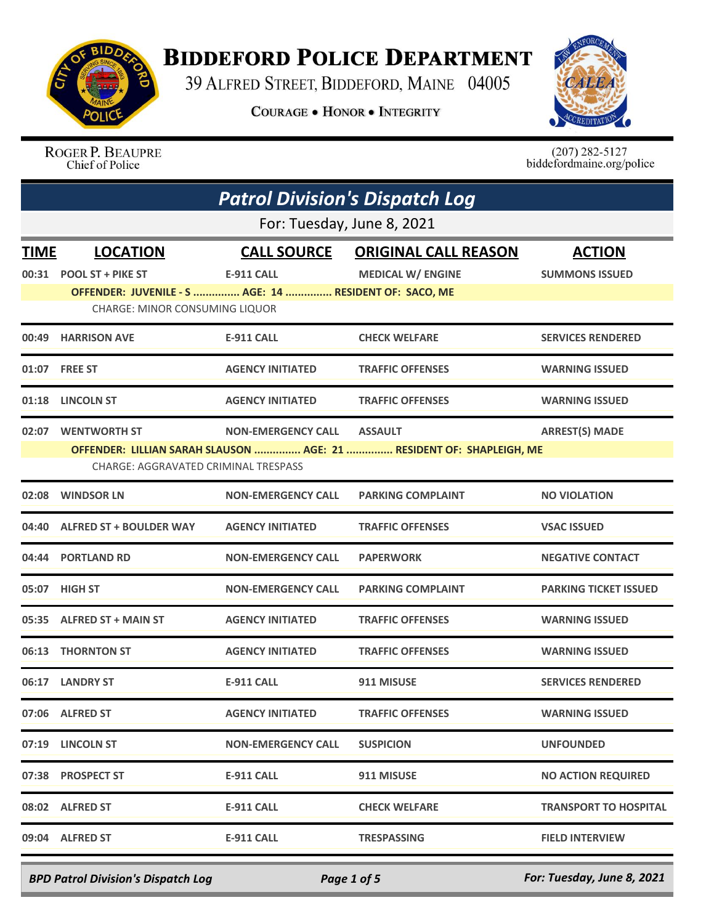

## **BIDDEFORD POLICE DEPARTMENT**

39 ALFRED STREET, BIDDEFORD, MAINE 04005

**COURAGE . HONOR . INTEGRITY** 



ROGER P. BEAUPRE Chief of Police

 $(207)$  282-5127<br>biddefordmaine.org/police

|             | <b>Patrol Division's Dispatch Log</b>                  |                           |                                                                      |                              |
|-------------|--------------------------------------------------------|---------------------------|----------------------------------------------------------------------|------------------------------|
|             |                                                        |                           | For: Tuesday, June 8, 2021                                           |                              |
| <b>TIME</b> | <b>LOCATION</b>                                        | <b>CALL SOURCE</b>        | <b>ORIGINAL CALL REASON</b>                                          | <b>ACTION</b>                |
| 00:31       | <b>POOL ST + PIKE ST</b>                               | <b>E-911 CALL</b>         | <b>MEDICAL W/ ENGINE</b>                                             | <b>SUMMONS ISSUED</b>        |
|             | OFFENDER: JUVENILE - S  AGE: 14  RESIDENT OF: SACO, ME |                           |                                                                      |                              |
|             | CHARGE: MINOR CONSUMING LIQUOR                         |                           |                                                                      |                              |
| 00:49       | <b>HARRISON AVE</b>                                    | <b>E-911 CALL</b>         | <b>CHECK WELFARE</b>                                                 | <b>SERVICES RENDERED</b>     |
|             | 01:07 FREE ST                                          | <b>AGENCY INITIATED</b>   | <b>TRAFFIC OFFENSES</b>                                              | <b>WARNING ISSUED</b>        |
| 01:18       | <b>LINCOLN ST</b>                                      | <b>AGENCY INITIATED</b>   | <b>TRAFFIC OFFENSES</b>                                              | <b>WARNING ISSUED</b>        |
| 02:07       | <b>WENTWORTH ST</b>                                    | <b>NON-EMERGENCY CALL</b> | <b>ASSAULT</b>                                                       | <b>ARREST(S) MADE</b>        |
|             |                                                        |                           | OFFENDER: LILLIAN SARAH SLAUSON  AGE: 21  RESIDENT OF: SHAPLEIGH, ME |                              |
|             | <b>CHARGE: AGGRAVATED CRIMINAL TRESPASS</b>            |                           |                                                                      |                              |
| 02:08       | <b>WINDSOR LN</b>                                      | <b>NON-EMERGENCY CALL</b> | <b>PARKING COMPLAINT</b>                                             | <b>NO VIOLATION</b>          |
| 04:40       | <b>ALFRED ST + BOULDER WAY</b>                         | <b>AGENCY INITIATED</b>   | <b>TRAFFIC OFFENSES</b>                                              | <b>VSAC ISSUED</b>           |
|             | 04:44 PORTLAND RD                                      | <b>NON-EMERGENCY CALL</b> | <b>PAPERWORK</b>                                                     | <b>NEGATIVE CONTACT</b>      |
| 05:07       | <b>HIGH ST</b>                                         | <b>NON-EMERGENCY CALL</b> | <b>PARKING COMPLAINT</b>                                             | <b>PARKING TICKET ISSUED</b> |
| 05:35       | <b>ALFRED ST + MAIN ST</b>                             | <b>AGENCY INITIATED</b>   | <b>TRAFFIC OFFENSES</b>                                              | <b>WARNING ISSUED</b>        |
|             | 06:13 THORNTON ST                                      | <b>AGENCY INITIATED</b>   | <b>TRAFFIC OFFENSES</b>                                              | <b>WARNING ISSUED</b>        |
|             | 06:17 LANDRY ST                                        | <b>E-911 CALL</b>         | 911 MISUSE                                                           | <b>SERVICES RENDERED</b>     |
|             | 07:06 ALFRED ST                                        | <b>AGENCY INITIATED</b>   | <b>TRAFFIC OFFENSES</b>                                              | <b>WARNING ISSUED</b>        |
|             | 07:19 LINCOLN ST                                       | <b>NON-EMERGENCY CALL</b> | <b>SUSPICION</b>                                                     | <b>UNFOUNDED</b>             |
|             | 07:38 PROSPECT ST                                      | <b>E-911 CALL</b>         | 911 MISUSE                                                           | <b>NO ACTION REQUIRED</b>    |
|             | 08:02 ALFRED ST                                        | <b>E-911 CALL</b>         | <b>CHECK WELFARE</b>                                                 | <b>TRANSPORT TO HOSPITAL</b> |
|             | 09:04 ALFRED ST                                        | <b>E-911 CALL</b>         | <b>TRESPASSING</b>                                                   | <b>FIELD INTERVIEW</b>       |
|             |                                                        |                           |                                                                      |                              |

*BPD Patrol Division's Dispatch Log Page 1 of 5 For: Tuesday, June 8, 2021*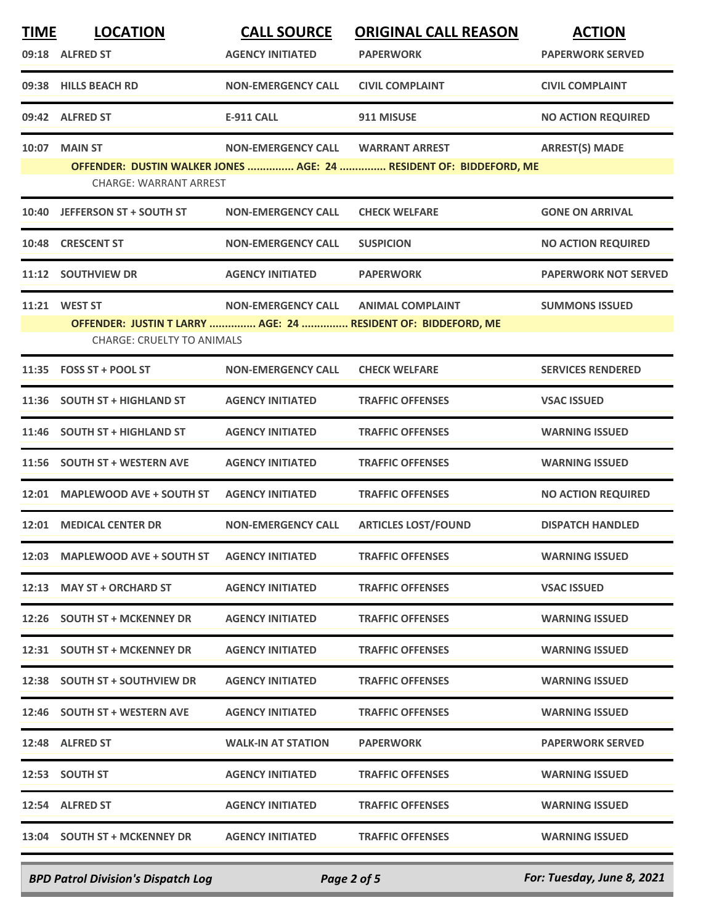| <b>TIME</b> | <b>LOCATION</b>                   | <b>CALL SOURCE</b>        | <b>ORIGINAL CALL REASON</b>                                        | <b>ACTION</b>               |
|-------------|-----------------------------------|---------------------------|--------------------------------------------------------------------|-----------------------------|
|             | 09:18 ALFRED ST                   | <b>AGENCY INITIATED</b>   | <b>PAPERWORK</b>                                                   | <b>PAPERWORK SERVED</b>     |
|             | 09:38 HILLS BEACH RD              | <b>NON-EMERGENCY CALL</b> | <b>CIVIL COMPLAINT</b>                                             | <b>CIVIL COMPLAINT</b>      |
|             | 09:42 ALFRED ST                   | <b>E-911 CALL</b>         | 911 MISUSE                                                         | <b>NO ACTION REQUIRED</b>   |
|             | 10:07 MAIN ST                     | <b>NON-EMERGENCY CALL</b> | <b>WARRANT ARREST</b>                                              | <b>ARREST(S) MADE</b>       |
|             | <b>CHARGE: WARRANT ARREST</b>     |                           | OFFENDER: DUSTIN WALKER JONES  AGE: 24  RESIDENT OF: BIDDEFORD, ME |                             |
| 10:40       | <b>JEFFERSON ST + SOUTH ST</b>    | <b>NON-EMERGENCY CALL</b> | <b>CHECK WELFARE</b>                                               | <b>GONE ON ARRIVAL</b>      |
| 10:48       | <b>CRESCENT ST</b>                | <b>NON-EMERGENCY CALL</b> | <b>SUSPICION</b>                                                   | <b>NO ACTION REQUIRED</b>   |
|             | 11:12 SOUTHVIEW DR                | <b>AGENCY INITIATED</b>   | <b>PAPERWORK</b>                                                   | <b>PAPERWORK NOT SERVED</b> |
|             | 11:21 WEST ST                     | <b>NON-EMERGENCY CALL</b> | <b>ANIMAL COMPLAINT</b>                                            | <b>SUMMONS ISSUED</b>       |
|             | <b>CHARGE: CRUELTY TO ANIMALS</b> |                           | OFFENDER: JUSTIN T LARRY  AGE: 24  RESIDENT OF: BIDDEFORD, ME      |                             |
|             | 11:35 FOSS ST + POOL ST           | <b>NON-EMERGENCY CALL</b> | <b>CHECK WELFARE</b>                                               | <b>SERVICES RENDERED</b>    |
| 11:36       | <b>SOUTH ST + HIGHLAND ST</b>     | <b>AGENCY INITIATED</b>   | <b>TRAFFIC OFFENSES</b>                                            | <b>VSAC ISSUED</b>          |
|             | 11:46 SOUTH ST + HIGHLAND ST      | <b>AGENCY INITIATED</b>   | <b>TRAFFIC OFFENSES</b>                                            | <b>WARNING ISSUED</b>       |
|             | 11:56 SOUTH ST + WESTERN AVE      | <b>AGENCY INITIATED</b>   | <b>TRAFFIC OFFENSES</b>                                            | <b>WARNING ISSUED</b>       |
|             | 12:01 MAPLEWOOD AVE + SOUTH ST    | <b>AGENCY INITIATED</b>   | <b>TRAFFIC OFFENSES</b>                                            | <b>NO ACTION REQUIRED</b>   |
|             | 12:01 MEDICAL CENTER DR           | <b>NON-EMERGENCY CALL</b> | <b>ARTICLES LOST/FOUND</b>                                         | <b>DISPATCH HANDLED</b>     |
|             | 12:03 MAPLEWOOD AVE + SOUTH ST    | <b>AGENCY INITIATED</b>   | <b>TRAFFIC OFFENSES</b>                                            | <b>WARNING ISSUED</b>       |
|             | 12:13 MAY ST + ORCHARD ST         | <b>AGENCY INITIATED</b>   | <b>TRAFFIC OFFENSES</b>                                            | <b>VSAC ISSUED</b>          |
|             | 12:26 SOUTH ST + MCKENNEY DR      | <b>AGENCY INITIATED</b>   | <b>TRAFFIC OFFENSES</b>                                            | <b>WARNING ISSUED</b>       |
|             | 12:31 SOUTH ST + MCKENNEY DR      | <b>AGENCY INITIATED</b>   | <b>TRAFFIC OFFENSES</b>                                            | <b>WARNING ISSUED</b>       |
|             | 12:38 SOUTH ST + SOUTHVIEW DR     | <b>AGENCY INITIATED</b>   | <b>TRAFFIC OFFENSES</b>                                            | <b>WARNING ISSUED</b>       |
|             | 12:46 SOUTH ST + WESTERN AVE      | <b>AGENCY INITIATED</b>   | <b>TRAFFIC OFFENSES</b>                                            | <b>WARNING ISSUED</b>       |
|             | 12:48 ALFRED ST                   | <b>WALK-IN AT STATION</b> | <b>PAPERWORK</b>                                                   | <b>PAPERWORK SERVED</b>     |
|             | 12:53 SOUTH ST                    | <b>AGENCY INITIATED</b>   | <b>TRAFFIC OFFENSES</b>                                            | <b>WARNING ISSUED</b>       |
|             | 12:54 ALFRED ST                   | <b>AGENCY INITIATED</b>   | <b>TRAFFIC OFFENSES</b>                                            | <b>WARNING ISSUED</b>       |
|             | 13:04 SOUTH ST + MCKENNEY DR      | <b>AGENCY INITIATED</b>   | <b>TRAFFIC OFFENSES</b>                                            | <b>WARNING ISSUED</b>       |
|             |                                   |                           |                                                                    |                             |

*BPD Patrol Division's Dispatch Log Page 2 of 5 For: Tuesday, June 8, 2021*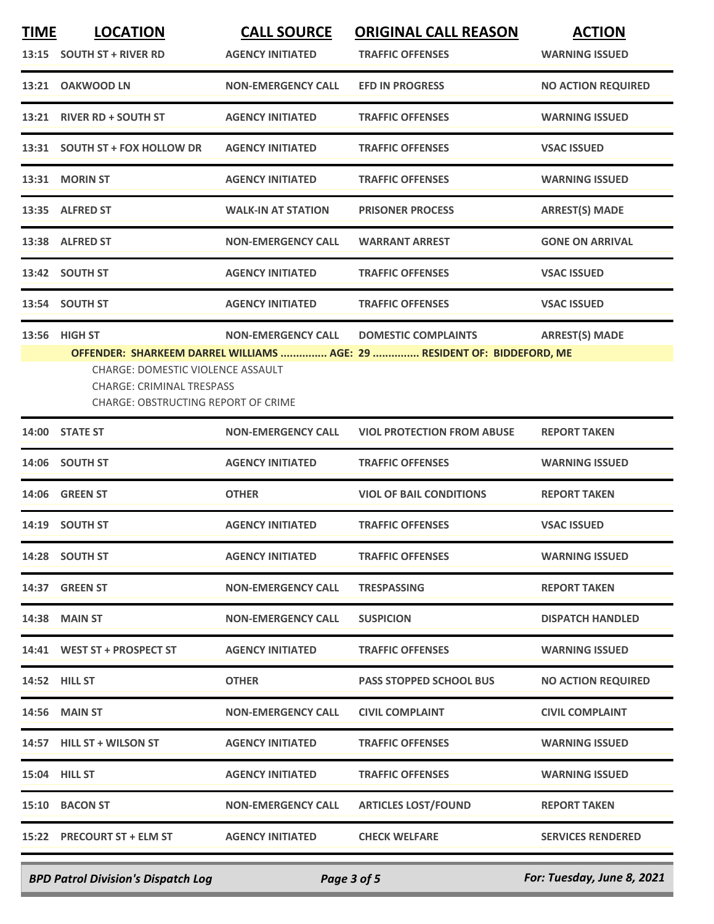| <b>TIME</b> | <b>LOCATION</b>                                                                                                                      | <b>CALL SOURCE</b>        | <b>ORIGINAL CALL REASON</b>                                                                           | <b>ACTION</b>             |
|-------------|--------------------------------------------------------------------------------------------------------------------------------------|---------------------------|-------------------------------------------------------------------------------------------------------|---------------------------|
|             | 13:15 SOUTH ST + RIVER RD                                                                                                            | <b>AGENCY INITIATED</b>   | <b>TRAFFIC OFFENSES</b>                                                                               | <b>WARNING ISSUED</b>     |
|             | 13:21 OAKWOOD LN                                                                                                                     | <b>NON-EMERGENCY CALL</b> | <b>EFD IN PROGRESS</b>                                                                                | <b>NO ACTION REQUIRED</b> |
|             | 13:21 RIVER RD + SOUTH ST                                                                                                            | <b>AGENCY INITIATED</b>   | <b>TRAFFIC OFFENSES</b>                                                                               | <b>WARNING ISSUED</b>     |
|             | 13:31 SOUTH ST + FOX HOLLOW DR                                                                                                       | <b>AGENCY INITIATED</b>   | <b>TRAFFIC OFFENSES</b>                                                                               | <b>VSAC ISSUED</b>        |
|             | 13:31 MORIN ST                                                                                                                       | <b>AGENCY INITIATED</b>   | <b>TRAFFIC OFFENSES</b>                                                                               | <b>WARNING ISSUED</b>     |
|             | 13:35 ALFRED ST                                                                                                                      | <b>WALK-IN AT STATION</b> | <b>PRISONER PROCESS</b>                                                                               | <b>ARREST(S) MADE</b>     |
|             | 13:38 ALFRED ST                                                                                                                      | <b>NON-EMERGENCY CALL</b> | <b>WARRANT ARREST</b>                                                                                 | <b>GONE ON ARRIVAL</b>    |
|             | 13:42 SOUTH ST                                                                                                                       | <b>AGENCY INITIATED</b>   | <b>TRAFFIC OFFENSES</b>                                                                               | <b>VSAC ISSUED</b>        |
|             | 13:54 SOUTH ST                                                                                                                       | <b>AGENCY INITIATED</b>   | <b>TRAFFIC OFFENSES</b>                                                                               | <b>VSAC ISSUED</b>        |
|             | 13:56 HIGH ST<br>CHARGE: DOMESTIC VIOLENCE ASSAULT<br><b>CHARGE: CRIMINAL TRESPASS</b><br><b>CHARGE: OBSTRUCTING REPORT OF CRIME</b> | <b>NON-EMERGENCY CALL</b> | <b>DOMESTIC COMPLAINTS</b><br>OFFENDER: SHARKEEM DARREL WILLIAMS  AGE: 29  RESIDENT OF: BIDDEFORD, ME | <b>ARREST(S) MADE</b>     |
|             | 14:00 STATE ST                                                                                                                       | <b>NON-EMERGENCY CALL</b> | <b>VIOL PROTECTION FROM ABUSE</b>                                                                     | <b>REPORT TAKEN</b>       |
|             | 14:06 SOUTH ST                                                                                                                       | <b>AGENCY INITIATED</b>   | <b>TRAFFIC OFFENSES</b>                                                                               | <b>WARNING ISSUED</b>     |
|             | <b>14:06 GREEN ST</b>                                                                                                                | <b>OTHER</b>              | <b>VIOL OF BAIL CONDITIONS</b>                                                                        | <b>REPORT TAKEN</b>       |
|             | 14:19 SOUTH ST                                                                                                                       | <b>AGENCY INITIATED</b>   | <b>TRAFFIC OFFENSES</b>                                                                               | <b>VSAC ISSUED</b>        |
|             | 14:28 SOUTH ST                                                                                                                       | <b>AGENCY INITIATED</b>   | <b>TRAFFIC OFFENSES</b>                                                                               | <b>WARNING ISSUED</b>     |
|             | 14:37 GREEN ST                                                                                                                       | <b>NON-EMERGENCY CALL</b> | <b>TRESPASSING</b>                                                                                    | <b>REPORT TAKEN</b>       |
|             | <b>14:38 MAIN ST</b>                                                                                                                 | <b>NON-EMERGENCY CALL</b> | <b>SUSPICION</b>                                                                                      | <b>DISPATCH HANDLED</b>   |
|             | 14:41 WEST ST + PROSPECT ST                                                                                                          | <b>AGENCY INITIATED</b>   | <b>TRAFFIC OFFENSES</b>                                                                               | <b>WARNING ISSUED</b>     |
|             | <b>14:52 HILL ST</b>                                                                                                                 | <b>OTHER</b>              | <b>PASS STOPPED SCHOOL BUS</b>                                                                        | <b>NO ACTION REQUIRED</b> |
|             | 14:56 MAIN ST                                                                                                                        | <b>NON-EMERGENCY CALL</b> | <b>CIVIL COMPLAINT</b>                                                                                | <b>CIVIL COMPLAINT</b>    |
|             | 14:57 HILL ST + WILSON ST                                                                                                            | <b>AGENCY INITIATED</b>   | <b>TRAFFIC OFFENSES</b>                                                                               | <b>WARNING ISSUED</b>     |
|             | 15:04 HILL ST                                                                                                                        | <b>AGENCY INITIATED</b>   | <b>TRAFFIC OFFENSES</b>                                                                               | <b>WARNING ISSUED</b>     |
|             | 15:10 BACON ST                                                                                                                       | <b>NON-EMERGENCY CALL</b> | <b>ARTICLES LOST/FOUND</b>                                                                            | <b>REPORT TAKEN</b>       |
|             | 15:22 PRECOURT ST + ELM ST                                                                                                           | <b>AGENCY INITIATED</b>   | <b>CHECK WELFARE</b>                                                                                  | <b>SERVICES RENDERED</b>  |
|             |                                                                                                                                      |                           |                                                                                                       |                           |

*BPD Patrol Division's Dispatch Log Page 3 of 5 For: Tuesday, June 8, 2021*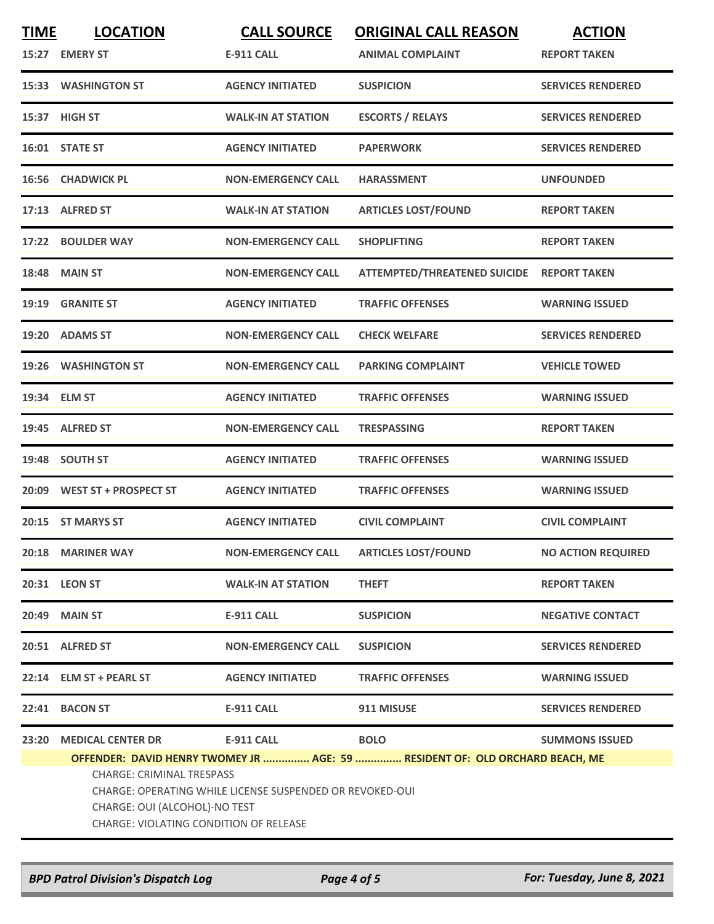| <b>TIME</b> | <b>LOCATION</b>                                                                                                                                                                                                                                         | <b>CALL SOURCE</b>        | <b>ORIGINAL CALL REASON</b>         | <b>ACTION</b>             |
|-------------|---------------------------------------------------------------------------------------------------------------------------------------------------------------------------------------------------------------------------------------------------------|---------------------------|-------------------------------------|---------------------------|
|             | 15:27 EMERY ST                                                                                                                                                                                                                                          | <b>E-911 CALL</b>         | <b>ANIMAL COMPLAINT</b>             | <b>REPORT TAKEN</b>       |
|             | 15:33 WASHINGTON ST                                                                                                                                                                                                                                     | <b>AGENCY INITIATED</b>   | <b>SUSPICION</b>                    | <b>SERVICES RENDERED</b>  |
|             | 15:37 HIGH ST                                                                                                                                                                                                                                           | <b>WALK-IN AT STATION</b> | <b>ESCORTS / RELAYS</b>             | <b>SERVICES RENDERED</b>  |
|             | 16:01 STATE ST                                                                                                                                                                                                                                          | <b>AGENCY INITIATED</b>   | <b>PAPERWORK</b>                    | <b>SERVICES RENDERED</b>  |
|             | 16:56 CHADWICK PL                                                                                                                                                                                                                                       | <b>NON-EMERGENCY CALL</b> | <b>HARASSMENT</b>                   | <b>UNFOUNDED</b>          |
|             | 17:13 ALFRED ST                                                                                                                                                                                                                                         | <b>WALK-IN AT STATION</b> | <b>ARTICLES LOST/FOUND</b>          | <b>REPORT TAKEN</b>       |
| 17:22       | <b>BOULDER WAY</b>                                                                                                                                                                                                                                      | <b>NON-EMERGENCY CALL</b> | <b>SHOPLIFTING</b>                  | <b>REPORT TAKEN</b>       |
| 18:48       | <b>MAIN ST</b>                                                                                                                                                                                                                                          | <b>NON-EMERGENCY CALL</b> | <b>ATTEMPTED/THREATENED SUICIDE</b> | <b>REPORT TAKEN</b>       |
| 19:19       | <b>GRANITE ST</b>                                                                                                                                                                                                                                       | <b>AGENCY INITIATED</b>   | <b>TRAFFIC OFFENSES</b>             | <b>WARNING ISSUED</b>     |
|             | 19:20 ADAMS ST                                                                                                                                                                                                                                          | <b>NON-EMERGENCY CALL</b> | <b>CHECK WELFARE</b>                | <b>SERVICES RENDERED</b>  |
| 19:26       | <b>WASHINGTON ST</b>                                                                                                                                                                                                                                    | <b>NON-EMERGENCY CALL</b> | <b>PARKING COMPLAINT</b>            | <b>VEHICLE TOWED</b>      |
|             | 19:34 ELM ST                                                                                                                                                                                                                                            | <b>AGENCY INITIATED</b>   | <b>TRAFFIC OFFENSES</b>             | <b>WARNING ISSUED</b>     |
| 19:45       | <b>ALFRED ST</b>                                                                                                                                                                                                                                        | <b>NON-EMERGENCY CALL</b> | <b>TRESPASSING</b>                  | <b>REPORT TAKEN</b>       |
|             | 19:48 SOUTH ST                                                                                                                                                                                                                                          | <b>AGENCY INITIATED</b>   | <b>TRAFFIC OFFENSES</b>             | <b>WARNING ISSUED</b>     |
|             | 20:09 WEST ST + PROSPECT ST                                                                                                                                                                                                                             | <b>AGENCY INITIATED</b>   | <b>TRAFFIC OFFENSES</b>             | <b>WARNING ISSUED</b>     |
|             | 20:15 ST MARYS ST                                                                                                                                                                                                                                       | <b>AGENCY INITIATED</b>   | <b>CIVIL COMPLAINT</b>              | <b>CIVIL COMPLAINT</b>    |
|             | 20:18 MARINER WAY                                                                                                                                                                                                                                       | <b>NON-EMERGENCY CALL</b> | <b>ARTICLES LOST/FOUND</b>          | <b>NO ACTION REQUIRED</b> |
|             | 20:31 LEON ST                                                                                                                                                                                                                                           | <b>WALK-IN AT STATION</b> | <b>THEFT</b>                        | <b>REPORT TAKEN</b>       |
|             | 20:49 MAIN ST                                                                                                                                                                                                                                           | <b>E-911 CALL</b>         | <b>SUSPICION</b>                    | <b>NEGATIVE CONTACT</b>   |
|             | 20:51 ALFRED ST                                                                                                                                                                                                                                         | <b>NON-EMERGENCY CALL</b> | <b>SUSPICION</b>                    | <b>SERVICES RENDERED</b>  |
|             | 22:14 ELM ST + PEARL ST                                                                                                                                                                                                                                 | <b>AGENCY INITIATED</b>   | <b>TRAFFIC OFFENSES</b>             | <b>WARNING ISSUED</b>     |
|             | 22:41 BACON ST                                                                                                                                                                                                                                          | <b>E-911 CALL</b>         | 911 MISUSE                          | <b>SERVICES RENDERED</b>  |
| 23:20       | <b>MEDICAL CENTER DR</b>                                                                                                                                                                                                                                | <b>E-911 CALL</b>         | <b>BOLO</b>                         | <b>SUMMONS ISSUED</b>     |
|             | OFFENDER: DAVID HENRY TWOMEY JR  AGE: 59  RESIDENT OF: OLD ORCHARD BEACH, ME<br><b>CHARGE: CRIMINAL TRESPASS</b><br>CHARGE: OPERATING WHILE LICENSE SUSPENDED OR REVOKED-OUI<br>CHARGE: OUI (ALCOHOL)-NO TEST<br>CHARGE: VIOLATING CONDITION OF RELEASE |                           |                                     |                           |